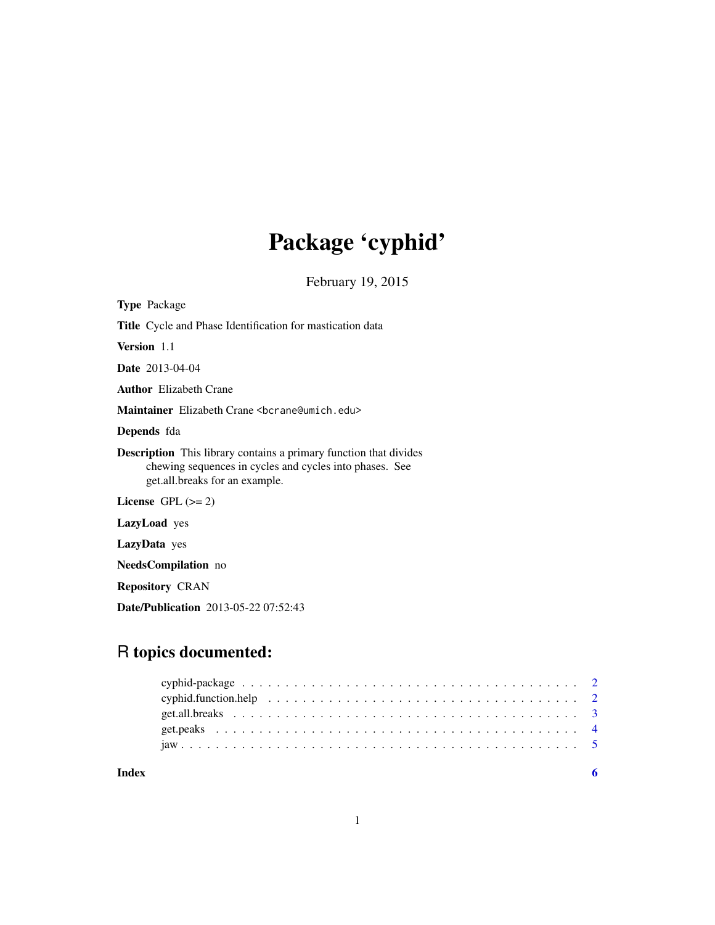# Package 'cyphid'

February 19, 2015

| <b>Type</b> Package                                                                                                                                                   |
|-----------------------------------------------------------------------------------------------------------------------------------------------------------------------|
| <b>Title</b> Cycle and Phase Identification for mastication data                                                                                                      |
| Version 1.1                                                                                                                                                           |
| <b>Date</b> 2013-04-04                                                                                                                                                |
| <b>Author</b> Elizabeth Crane                                                                                                                                         |
| Maintainer Elizabeth Crane <bcrane@umich.edu></bcrane@umich.edu>                                                                                                      |
| <b>Depends</b> fda                                                                                                                                                    |
| <b>Description</b> This library contains a primary function that divides<br>chewing sequences in cycles and cycles into phases. See<br>get.all.breaks for an example. |
| License $GPL (= 2)$                                                                                                                                                   |
| <b>LazyLoad</b> yes                                                                                                                                                   |
| LazyData yes                                                                                                                                                          |
| <b>NeedsCompilation</b> no                                                                                                                                            |
|                                                                                                                                                                       |

Repository CRAN

Date/Publication 2013-05-22 07:52:43

### R topics documented: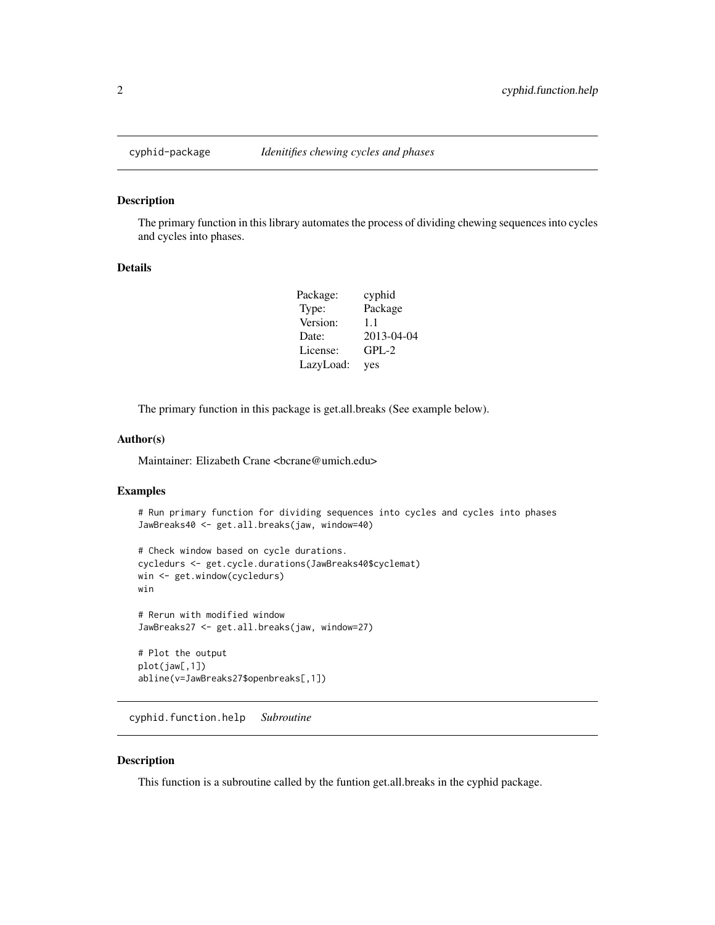<span id="page-1-0"></span>

#### Description

The primary function in this library automates the process of dividing chewing sequences into cycles and cycles into phases.

#### Details

| Package:  | cyphid     |
|-----------|------------|
| Type:     | Package    |
| Version:  | 11         |
| Date:     | 2013-04-04 |
| License:  | $GPL-2$    |
| LazyLoad: | yes        |

The primary function in this package is get.all.breaks (See example below).

#### Author(s)

Maintainer: Elizabeth Crane <br/>bcrane@umich.edu>

#### Examples

```
# Run primary function for dividing sequences into cycles and cycles into phases
JawBreaks40 <- get.all.breaks(jaw, window=40)
```

```
# Check window based on cycle durations.
cycledurs <- get.cycle.durations(JawBreaks40$cyclemat)
win <- get.window(cycledurs)
win
# Rerun with modified window
JawBreaks27 <- get.all.breaks(jaw, window=27)
# Plot the output
```
plot(jaw[,1]) abline(v=JawBreaks27\$openbreaks[,1])

cyphid.function.help *Subroutine*

#### Description

This function is a subroutine called by the funtion get.all.breaks in the cyphid package.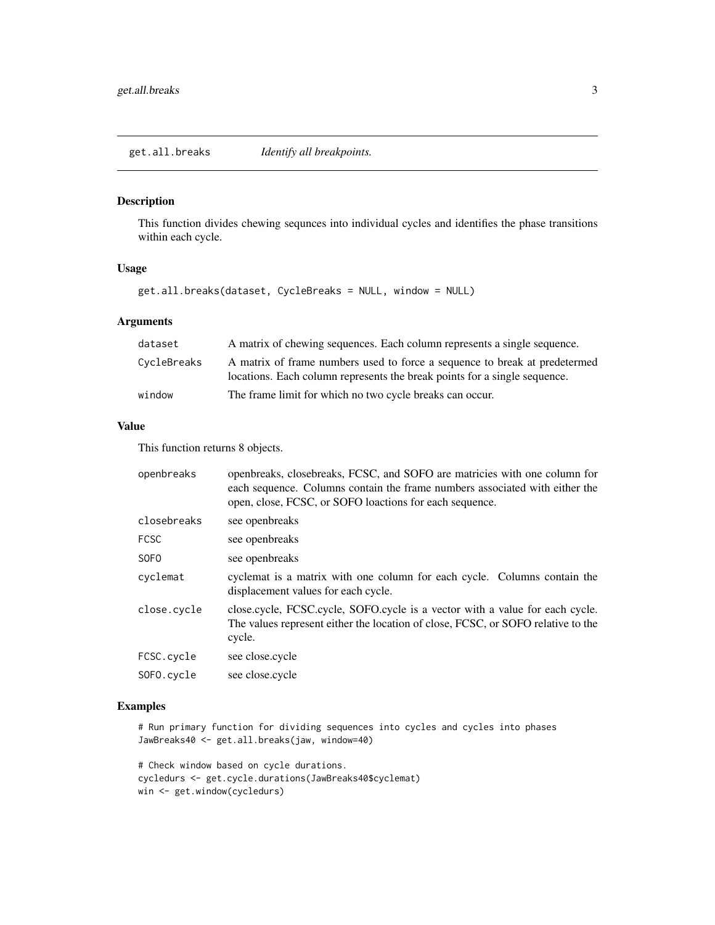#### <span id="page-2-0"></span>Description

This function divides chewing sequnces into individual cycles and identifies the phase transitions within each cycle.

#### Usage

get.all.breaks(dataset, CycleBreaks = NULL, window = NULL)

#### Arguments

| dataset     | A matrix of chewing sequences. Each column represents a single sequence.                                                                                |
|-------------|---------------------------------------------------------------------------------------------------------------------------------------------------------|
| CycleBreaks | A matrix of frame numbers used to force a sequence to break at predetermed<br>locations. Each column represents the break points for a single sequence. |
| window      | The frame limit for which no two cycle breaks can occur.                                                                                                |

#### Value

This function returns 8 objects.

| openbreaks       | openbreaks, closebreaks, FCSC, and SOFO are matricies with one column for<br>each sequence. Columns contain the frame numbers associated with either the<br>open, close, FCSC, or SOFO loactions for each sequence. |
|------------------|---------------------------------------------------------------------------------------------------------------------------------------------------------------------------------------------------------------------|
| closebreaks      | see openbreaks                                                                                                                                                                                                      |
| <b>FCSC</b>      | see openbreaks                                                                                                                                                                                                      |
| SOF <sub>0</sub> | see openbreaks                                                                                                                                                                                                      |
| cyclemat         | cyclemat is a matrix with one column for each cycle. Columns contain the<br>displacement values for each cycle.                                                                                                     |
| close.cycle      | close.cycle, FCSC.cycle, SOFO.cycle is a vector with a value for each cycle.<br>The values represent either the location of close, FCSC, or SOFO relative to the<br>cycle.                                          |
| FCSC.cycle       | see close.cycle                                                                                                                                                                                                     |
| SOFO.cycle       | see close.cycle                                                                                                                                                                                                     |

#### Examples

# Run primary function for dividing sequences into cycles and cycles into phases JawBreaks40 <- get.all.breaks(jaw, window=40)

# Check window based on cycle durations. cycledurs <- get.cycle.durations(JawBreaks40\$cyclemat) win <- get.window(cycledurs)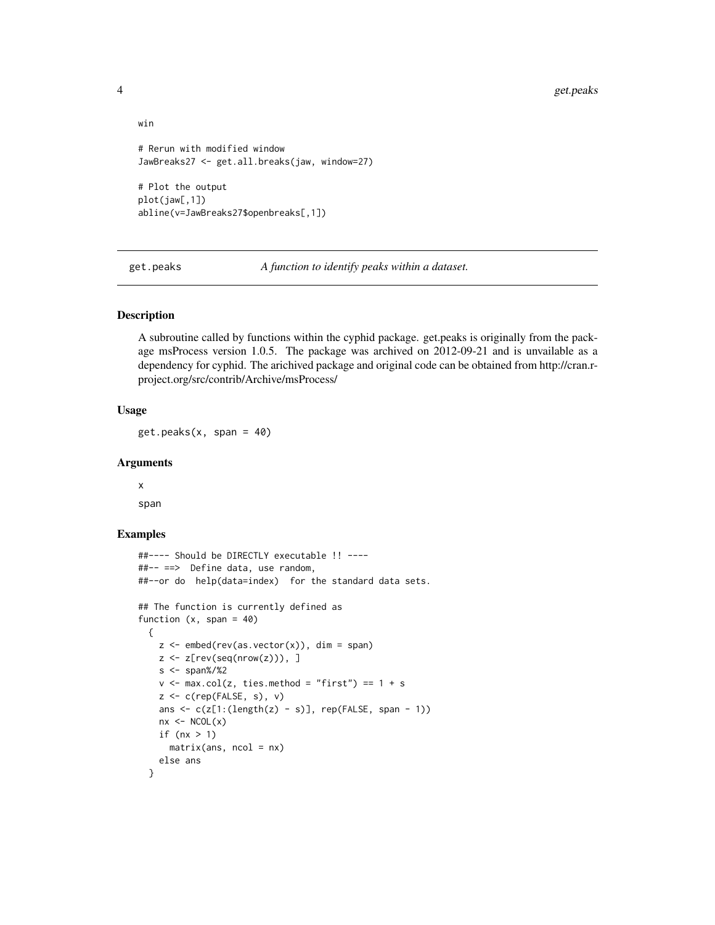```
win
# Rerun with modified window
JawBreaks27 <- get.all.breaks(jaw, window=27)
# Plot the output
plot(jaw[,1])
abline(v=JawBreaks27$openbreaks[,1])
```
get.peaks *A function to identify peaks within a dataset.*

#### Description

A subroutine called by functions within the cyphid package. get.peaks is originally from the package msProcess version 1.0.5. The package was archived on 2012-09-21 and is unvailable as a dependency for cyphid. The arichived package and original code can be obtained from http://cran.rproject.org/src/contrib/Archive/msProcess/

### Usage

 $get.\text{peaks}(x, \text{span} = 40)$ 

#### Arguments

x span

### Examples

```
##---- Should be DIRECTLY executable !! ----
##-- ==> Define data, use random,
##--or do help(data=index) for the standard data sets.
## The function is currently defined as
function (x, span = 40){
    z \leq - embed(rev(as.vector(x)), dim = span)
    z \leftarrow z[rev(seq(nrow(z))), ]
    s <- span%/%2
    v \le - max.col(z, ties.method = "first") == 1 + s
    z \leq c (rep(FALSE, s), v)
    ans \leq c(z[1:(\text{length}(z) - s)], \text{rep}(\text{FALSE}, \text{span} - 1))nx < -NCOL(x)if (nx > 1)matrix(ans, ncol = nx)else ans
  }
```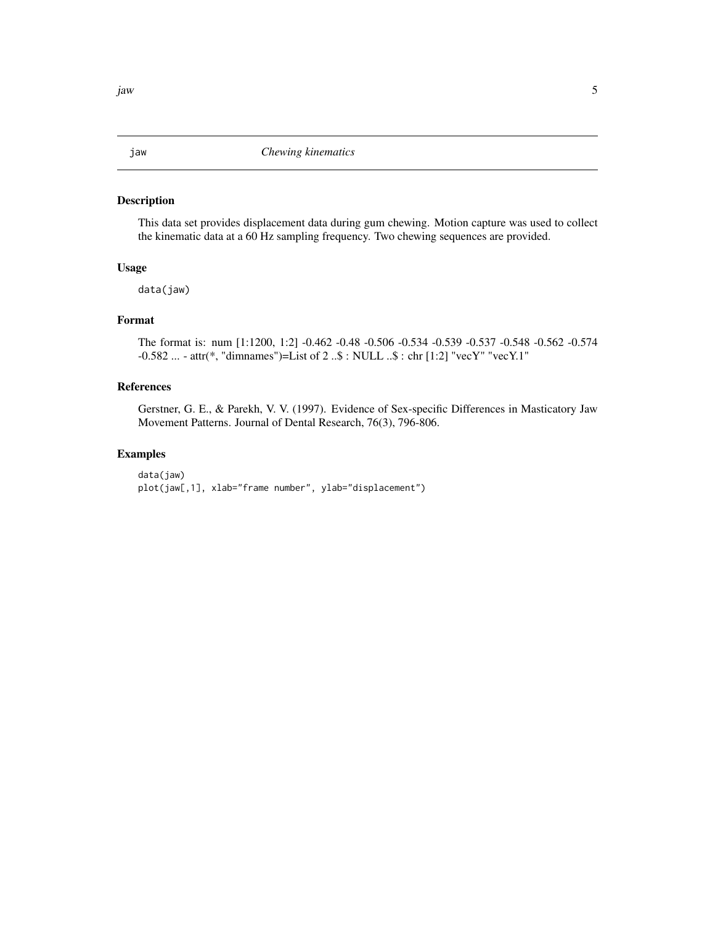#### <span id="page-4-0"></span>Description

This data set provides displacement data during gum chewing. Motion capture was used to collect the kinematic data at a 60 Hz sampling frequency. Two chewing sequences are provided.

#### Usage

data(jaw)

### Format

The format is: num [1:1200, 1:2] -0.462 -0.48 -0.506 -0.534 -0.539 -0.537 -0.548 -0.562 -0.574 -0.582 ... - attr(\*, "dimnames")=List of 2 ..\$ : NULL ..\$ : chr [1:2] "vecY" "vecY.1"

#### References

Gerstner, G. E., & Parekh, V. V. (1997). Evidence of Sex-specific Differences in Masticatory Jaw Movement Patterns. Journal of Dental Research, 76(3), 796-806.

#### Examples

data(jaw) plot(jaw[,1], xlab="frame number", ylab="displacement")